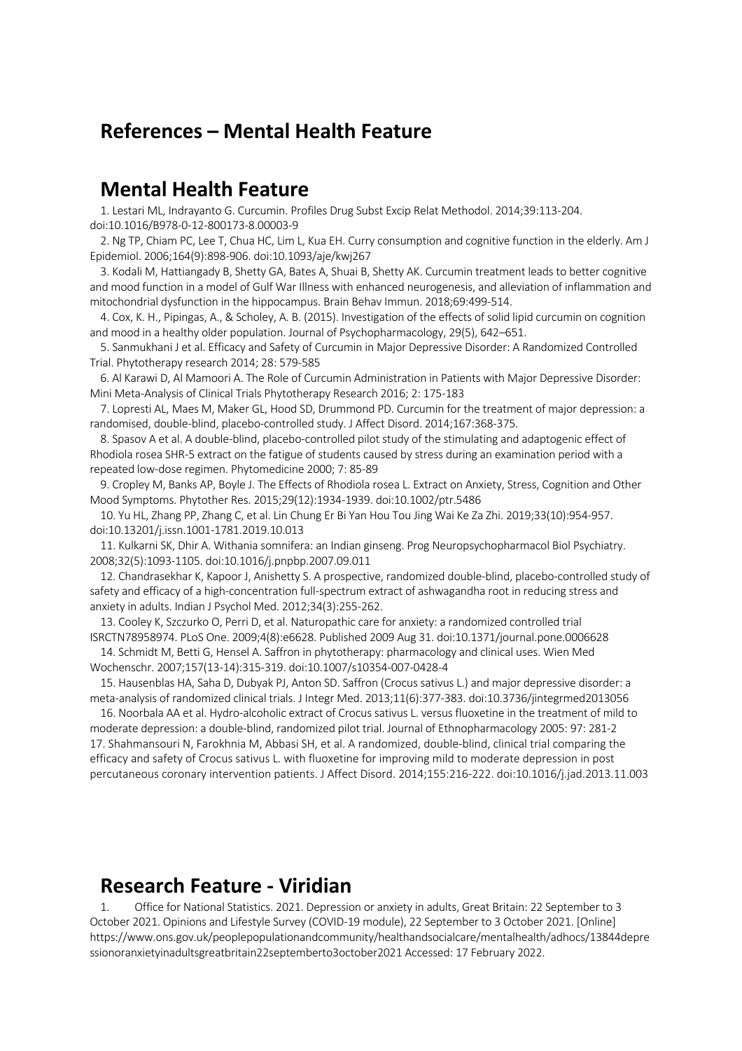## **References – Mental Health Feature**

## **Mental Health Feature**

1. Lestari ML, Indrayanto G. Curcumin. Profiles Drug Subst Excip Relat Methodol. 2014;39:113-204. doi:10.1016/B978-0-12-800173-8.00003-9

2. Ng TP, Chiam PC, Lee T, Chua HC, Lim L, Kua EH. Curry consumption and cognitive function in the elderly. Am J Epidemiol. 2006;164(9):898-906. doi:10.1093/aje/kwj267

3. Kodali M, Hattiangady B, Shetty GA, Bates A, Shuai B, Shetty AK. Curcumin treatment leads to better cognitive and mood function in a model of Gulf War Illness with enhanced neurogenesis, and alleviation of inflammation and mitochondrial dysfunction in the hippocampus. Brain Behav Immun. 2018;69:499-514.

4. Cox, K. H., Pipingas, A., & Scholey, A. B. (2015). Investigation of the effects of solid lipid curcumin on cognition and mood in a healthy older population. Journal of Psychopharmacology, 29(5), 642–651.

5. Sanmukhani J et al. Efficacy and Safety of Curcumin in Major Depressive Disorder: A Randomized Controlled Trial. Phytotherapy research 2014; 28: 579-585

6. Al Karawi D, Al Mamoori A. The Role of Curcumin Administration in Patients with Major Depressive Disorder: Mini Meta-Analysis of Clinical Trials Phytotherapy Research 2016; 2: 175-183

7. Lopresti AL, Maes M, Maker GL, Hood SD, Drummond PD. Curcumin for the treatment of major depression: a randomised, double-blind, placebo-controlled study. J Affect Disord. 2014;167:368-375.

8. Spasov A et al. A double-blind, placebo-controlled pilot study of the stimulating and adaptogenic effect of Rhodiola rosea SHR-5 extract on the fatigue of students caused by stress during an examination period with a repeated low-dose regimen. Phytomedicine 2000; 7: 85-89

9. Cropley M, Banks AP, Boyle J. The Effects of Rhodiola rosea L. Extract on Anxiety, Stress, Cognition and Other Mood Symptoms. Phytother Res. 2015;29(12):1934-1939. doi:10.1002/ptr.5486

10. Yu HL, Zhang PP, Zhang C, et al. Lin Chung Er Bi Yan Hou Tou Jing Wai Ke Za Zhi. 2019;33(10):954-957. doi:10.13201/j.issn.1001-1781.2019.10.013

11. Kulkarni SK, Dhir A. Withania somnifera: an Indian ginseng. Prog Neuropsychopharmacol Biol Psychiatry. 2008;32(5):1093-1105. doi:10.1016/j.pnpbp.2007.09.011

12. Chandrasekhar K, Kapoor J, Anishetty S. A prospective, randomized double-blind, placebo-controlled study of safety and efficacy of a high-concentration full-spectrum extract of ashwagandha root in reducing stress and anxiety in adults. Indian J Psychol Med. 2012;34(3):255-262.

13. Cooley K, Szczurko O, Perri D, et al. Naturopathic care for anxiety: a randomized controlled trial ISRCTN78958974. PLoS One. 2009;4(8):e6628. Published 2009 Aug 31. doi:10.1371/journal.pone.0006628

14. Schmidt M, Betti G, Hensel A. Saffron in phytotherapy: pharmacology and clinical uses. Wien Med Wochenschr. 2007;157(13-14):315-319. doi:10.1007/s10354-007-0428-4

15. Hausenblas HA, Saha D, Dubyak PJ, Anton SD. Saffron (Crocus sativus L.) and major depressive disorder: a meta-analysis of randomized clinical trials. J Integr Med. 2013;11(6):377-383. doi:10.3736/jintegrmed2013056

16. Noorbala AA et al. Hydro-alcoholic extract of Crocus sativus L. versus fluoxetine in the treatment of mild to moderate depression: a double-blind, randomized pilot trial. Journal of Ethnopharmacology 2005: 97: 281-2 17. Shahmansouri N, Farokhnia M, Abbasi SH, et al. A randomized, double-blind, clinical trial comparing the efficacy and safety of Crocus sativus L. with fluoxetine for improving mild to moderate depression in post percutaneous coronary intervention patients. J Affect Disord. 2014;155:216-222. doi:10.1016/j.jad.2013.11.003

## **Research Feature - Viridian**

1. Office for National Statistics. 2021. Depression or anxiety in adults, Great Britain: 22 September to 3 October 2021. Opinions and Lifestyle Survey (COVID-19 module), 22 September to 3 October 2021. [Online] https://www.ons.gov.uk/peoplepopulationandcommunity/healthandsocialcare/mentalhealth/adhocs/13844depre ssionoranxietyinadultsgreatbritain22septemberto3october2021 Accessed: 17 February 2022.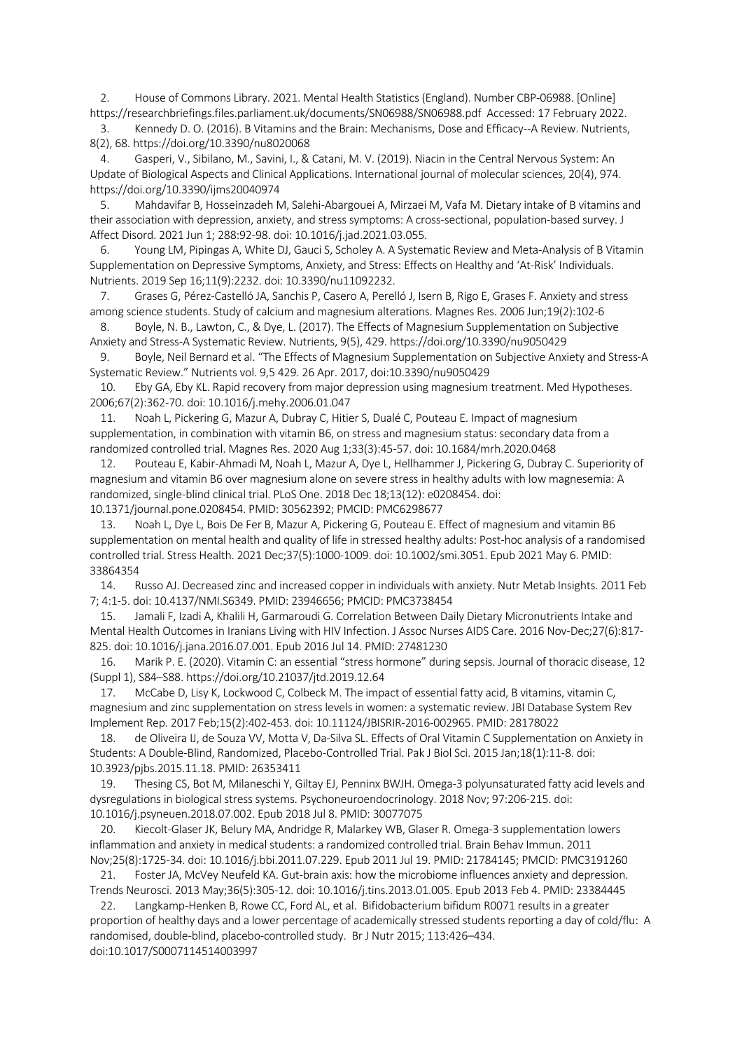2. House of Commons Library. 2021. Mental Health Statistics (England). Number CBP-06988. [Online] https://researchbriefings.files.parliament.uk/documents/SN06988/SN06988.pdf Accessed: 17 February 2022.

3. Kennedy D. O. (2016). B Vitamins and the Brain: Mechanisms, Dose and Efficacy--A Review. Nutrients, 8(2), 68. https://doi.org/10.3390/nu8020068

4. Gasperi, V., Sibilano, M., Savini, I., & Catani, M. V. (2019). Niacin in the Central Nervous System: An Update of Biological Aspects and Clinical Applications. International journal of molecular sciences, 20(4), 974. https://doi.org/10.3390/ijms20040974

5. Mahdavifar B, Hosseinzadeh M, Salehi-Abargouei A, Mirzaei M, Vafa M. Dietary intake of B vitamins and their association with depression, anxiety, and stress symptoms: A cross-sectional, population-based survey. J Affect Disord. 2021 Jun 1; 288:92-98. doi: 10.1016/j.jad.2021.03.055.

Young LM, Pipingas A, White DJ, Gauci S, Scholey A. A Systematic Review and Meta-Analysis of B Vitamin Supplementation on Depressive Symptoms, Anxiety, and Stress: Effects on Healthy and 'At-Risk' Individuals. Nutrients. 2019 Sep 16;11(9):2232. doi: 10.3390/nu11092232.

7. Grases G, Pérez-Castelló JA, Sanchis P, Casero A, Perelló J, Isern B, Rigo E, Grases F. Anxiety and stress among science students. Study of calcium and magnesium alterations. Magnes Res. 2006 Jun;19(2):102-6

8. Boyle, N. B., Lawton, C., & Dye, L. (2017). The Effects of Magnesium Supplementation on Subjective Anxiety and Stress-A Systematic Review. Nutrients, 9(5), 429. https://doi.org/10.3390/nu9050429

9. Boyle, Neil Bernard et al. "The Effects of Magnesium Supplementation on Subjective Anxiety and Stress-A Systematic Review." Nutrients vol. 9,5 429. 26 Apr. 2017, doi:10.3390/nu9050429

10. Eby GA, Eby KL. Rapid recovery from major depression using magnesium treatment. Med Hypotheses. 2006;67(2):362-70. doi: 10.1016/j.mehy.2006.01.047

11. Noah L, Pickering G, Mazur A, Dubray C, Hitier S, Dualé C, Pouteau E. Impact of magnesium supplementation, in combination with vitamin B6, on stress and magnesium status: secondary data from a randomized controlled trial. Magnes Res. 2020 Aug 1;33(3):45-57. doi: 10.1684/mrh.2020.0468

12. Pouteau E, Kabir-Ahmadi M, Noah L, Mazur A, Dye L, Hellhammer J, Pickering G, Dubray C. Superiority of magnesium and vitamin B6 over magnesium alone on severe stress in healthy adults with low magnesemia: A randomized, single-blind clinical trial. PLoS One. 2018 Dec 18;13(12): e0208454. doi: 10.1371/journal.pone.0208454. PMID: 30562392; PMCID: PMC6298677

Noah L, Dye L, Bois De Fer B, Mazur A, Pickering G, Pouteau E. Effect of magnesium and vitamin B6 supplementation on mental health and quality of life in stressed healthy adults: Post-hoc analysis of a randomised controlled trial. Stress Health. 2021 Dec;37(5):1000-1009. doi: 10.1002/smi.3051. Epub 2021 May 6. PMID: 33864354

14. Russo AJ. Decreased zinc and increased copper in individuals with anxiety. Nutr Metab Insights. 2011 Feb 7; 4:1-5. doi: 10.4137/NMI.S6349. PMID: 23946656; PMCID: PMC3738454

15. Jamali F, Izadi A, Khalili H, Garmaroudi G. Correlation Between Daily Dietary Micronutrients Intake and Mental Health Outcomes in Iranians Living with HIV Infection. J Assoc Nurses AIDS Care. 2016 Nov-Dec;27(6):817- 825. doi: 10.1016/j.jana.2016.07.001. Epub 2016 Jul 14. PMID: 27481230

16. Marik P. E. (2020). Vitamin C: an essential "stress hormone" during sepsis. Journal of thoracic disease, 12 (Suppl 1), S84–S88. https://doi.org/10.21037/jtd.2019.12.64

17. McCabe D, Lisy K, Lockwood C, Colbeck M. The impact of essential fatty acid, B vitamins, vitamin C, magnesium and zinc supplementation on stress levels in women: a systematic review. JBI Database System Rev Implement Rep. 2017 Feb;15(2):402-453. doi: 10.11124/JBISRIR-2016-002965. PMID: 28178022

18. de Oliveira IJ, de Souza VV, Motta V, Da-Silva SL. Effects of Oral Vitamin C Supplementation on Anxiety in Students: A Double-Blind, Randomized, Placebo-Controlled Trial. Pak J Biol Sci. 2015 Jan;18(1):11-8. doi: 10.3923/pjbs.2015.11.18. PMID: 26353411

19. Thesing CS, Bot M, Milaneschi Y, Giltay EJ, Penninx BWJH. Omega-3 polyunsaturated fatty acid levels and dysregulations in biological stress systems. Psychoneuroendocrinology. 2018 Nov; 97:206-215. doi: 10.1016/j.psyneuen.2018.07.002. Epub 2018 Jul 8. PMID: 30077075

20. Kiecolt-Glaser JK, Belury MA, Andridge R, Malarkey WB, Glaser R. Omega-3 supplementation lowers inflammation and anxiety in medical students: a randomized controlled trial. Brain Behav Immun. 2011 Nov;25(8):1725-34. doi: 10.1016/j.bbi.2011.07.229. Epub 2011 Jul 19. PMID: 21784145; PMCID: PMC3191260

21. Foster JA, McVey Neufeld KA. Gut-brain axis: how the microbiome influences anxiety and depression. Trends Neurosci. 2013 May;36(5):305-12. doi: 10.1016/j.tins.2013.01.005. Epub 2013 Feb 4. PMID: 23384445

22. Langkamp-Henken B, Rowe CC, Ford AL, et al. Bifidobacterium bifidum R0071 results in a greater proportion of healthy days and a lower percentage of academically stressed students reporting a day of cold/flu: A randomised, double-blind, placebo-controlled study. Br J Nutr 2015; 113:426–434. doi:10.1017/S0007114514003997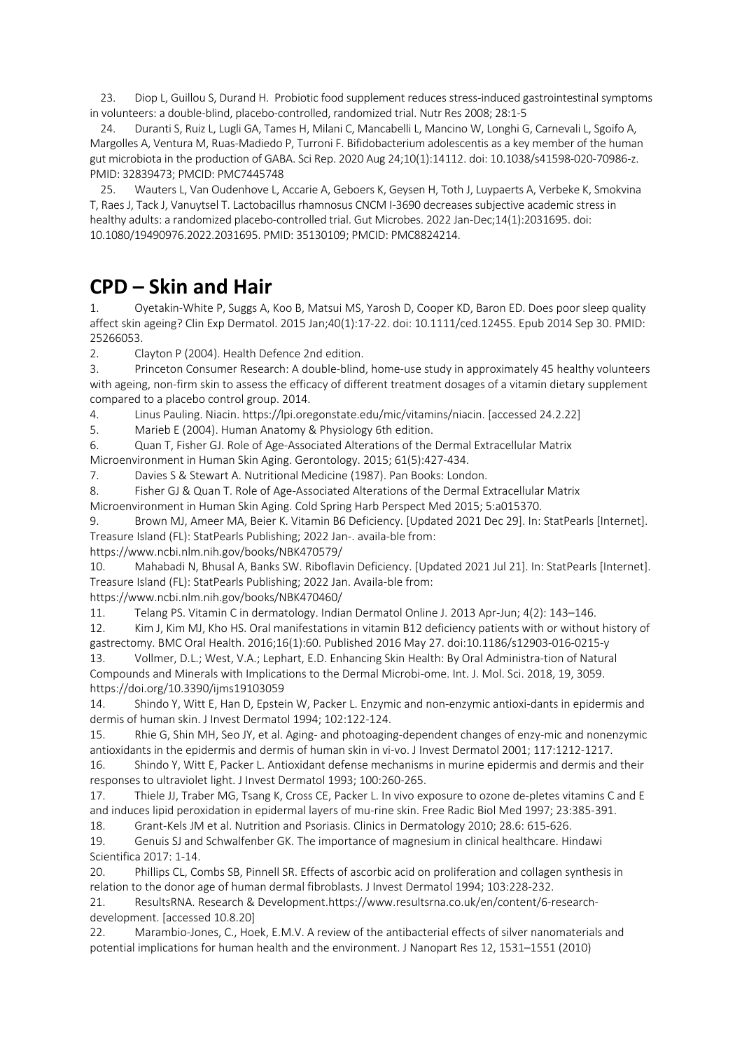23. Diop L, Guillou S, Durand H. Probiotic food supplement reduces stress-induced gastrointestinal symptoms in volunteers: a double-blind, placebo-controlled, randomized trial. Nutr Res 2008; 28:1-5

24. Duranti S, Ruiz L, Lugli GA, Tames H, Milani C, Mancabelli L, Mancino W, Longhi G, Carnevali L, Sgoifo A, Margolles A, Ventura M, Ruas-Madiedo P, Turroni F. Bifidobacterium adolescentis as a key member of the human gut microbiota in the production of GABA. Sci Rep. 2020 Aug 24;10(1):14112. doi: 10.1038/s41598-020-70986-z. PMID: 32839473; PMCID: PMC7445748

25. Wauters L, Van Oudenhove L, Accarie A, Geboers K, Geysen H, Toth J, Luypaerts A, Verbeke K, Smokvina T, Raes J, Tack J, Vanuytsel T. Lactobacillus rhamnosus CNCM I-3690 decreases subjective academic stress in healthy adults: a randomized placebo-controlled trial. Gut Microbes. 2022 Jan-Dec;14(1):2031695. doi: 10.1080/19490976.2022.2031695. PMID: 35130109; PMCID: PMC8824214.

## **CPD – Skin and Hair**

Oyetakin-White P, Suggs A, Koo B, Matsui MS, Yarosh D, Cooper KD, Baron ED. Does poor sleep quality affect skin ageing? Clin Exp Dermatol. 2015 Jan;40(1):17-22. doi: 10.1111/ced.12455. Epub 2014 Sep 30. PMID: 25266053.

2. Clayton P (2004). Health Defence 2nd edition.

3. Princeton Consumer Research: A double-blind, home-use study in approximately 45 healthy volunteers with ageing, non-firm skin to assess the efficacy of different treatment dosages of a vitamin dietary supplement compared to a placebo control group. 2014.

4. Linus Pauling. Niacin. https://lpi.oregonstate.edu/mic/vitamins/niacin. [accessed 24.2.22]

5. Marieb E (2004). Human Anatomy & Physiology 6th edition.

6. Quan T, Fisher GJ. Role of Age-Associated Alterations of the Dermal Extracellular Matrix

Microenvironment in Human Skin Aging. Gerontology. 2015; 61(5):427-434.

7. Davies S & Stewart A. Nutritional Medicine (1987). Pan Books: London.

8. Fisher GJ & Quan T. Role of Age-Associated Alterations of the Dermal Extracellular Matrix

Microenvironment in Human Skin Aging. Cold Spring Harb Perspect Med 2015; 5:a015370.

9. Brown MJ, Ameer MA, Beier K. Vitamin B6 Deficiency. [Updated 2021 Dec 29]. In: StatPearls [Internet]. Treasure Island (FL): StatPearls Publishing; 2022 Jan-. availa-ble from:

https://www.ncbi.nlm.nih.gov/books/NBK470579/

10. Mahabadi N, Bhusal A, Banks SW. Riboflavin Deficiency. [Updated 2021 Jul 21]. In: StatPearls [Internet]. Treasure Island (FL): StatPearls Publishing; 2022 Jan. Availa-ble from:

https://www.ncbi.nlm.nih.gov/books/NBK470460/

11. Telang PS. Vitamin C in dermatology. Indian Dermatol Online J. 2013 Apr-Jun; 4(2): 143–146.

12. Kim J, Kim MJ, Kho HS. Oral manifestations in vitamin B12 deficiency patients with or without history of gastrectomy. BMC Oral Health. 2016;16(1):60. Published 2016 May 27. doi:10.1186/s12903-016-0215-y

13. Vollmer, D.L.; West, V.A.; Lephart, E.D. Enhancing Skin Health: By Oral Administra-tion of Natural Compounds and Minerals with Implications to the Dermal Microbi-ome. Int. J. Mol. Sci. 2018, 19, 3059. https://doi.org/10.3390/ijms19103059

14. Shindo Y, Witt E, Han D, Epstein W, Packer L. Enzymic and non-enzymic antioxi-dants in epidermis and dermis of human skin. J Invest Dermatol 1994; 102:122-124.

15. Rhie G, Shin MH, Seo JY, et al. Aging- and photoaging-dependent changes of enzy-mic and nonenzymic antioxidants in the epidermis and dermis of human skin in vi-vo. J Invest Dermatol 2001; 117:1212-1217.

16. Shindo Y, Witt E, Packer L. Antioxidant defense mechanisms in murine epidermis and dermis and their responses to ultraviolet light. J Invest Dermatol 1993; 100:260-265.

17. Thiele JJ, Traber MG, Tsang K, Cross CE, Packer L. In vivo exposure to ozone de-pletes vitamins C and E and induces lipid peroxidation in epidermal layers of mu-rine skin. Free Radic Biol Med 1997; 23:385-391. 18. Grant-Kels JM et al. Nutrition and Psoriasis. Clinics in Dermatology 2010; 28.6: 615-626.

19. Genuis SJ and Schwalfenber GK. The importance of magnesium in clinical healthcare. Hindawi Scientifica 2017: 1-14.

20. Phillips CL, Combs SB, Pinnell SR. Effects of ascorbic acid on proliferation and collagen synthesis in relation to the donor age of human dermal fibroblasts. J Invest Dermatol 1994; 103:228-232.

21. ResultsRNA. Research & Development.https://www.resultsrna.co.uk/en/content/6-researchdevelopment. [accessed 10.8.20]

22. Marambio-Jones, C., Hoek, E.M.V. A review of the antibacterial effects of silver nanomaterials and potential implications for human health and the environment. J Nanopart Res 12, 1531–1551 (2010)